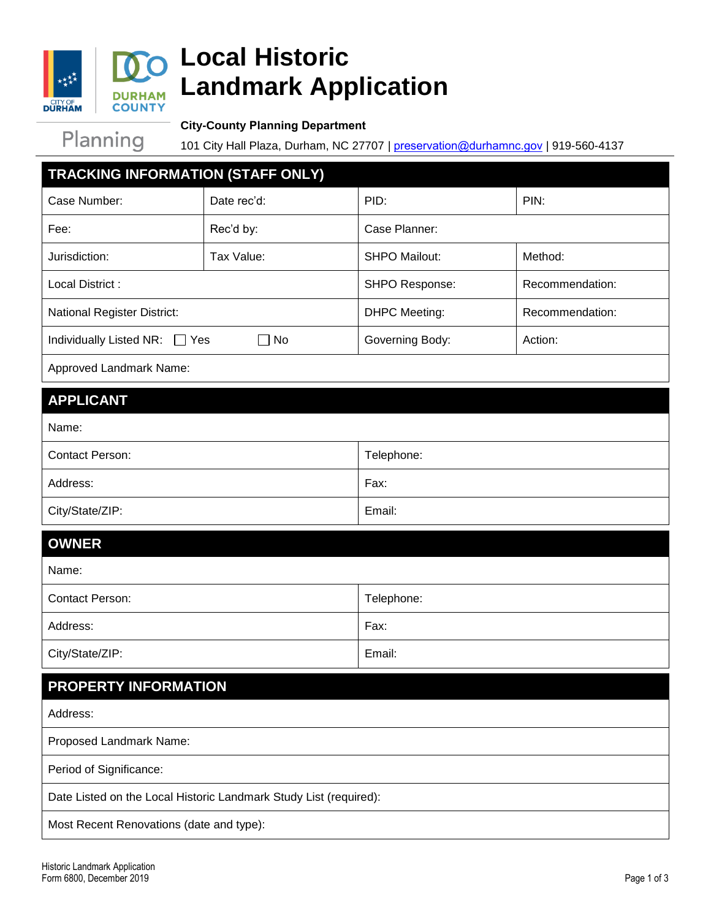

# **Local Historic Landmark Application**

Planning

**City-County Planning Department**

101 City Hall Plaza, Durham, NC 27707 | [preservation@durhamnc.gov](mailto:preservation@durhamnc.gov) | 919-560-4137

| TRACKING INFORMATION (STAFF ONLY)                                 |             |                      |                 |
|-------------------------------------------------------------------|-------------|----------------------|-----------------|
| Case Number:                                                      | Date rec'd: | PID:                 | PIN:            |
| Fee:                                                              | Rec'd by:   | Case Planner:        |                 |
| Jurisdiction:                                                     | Tax Value:  | <b>SHPO Mailout:</b> | Method:         |
| Local District:                                                   |             | SHPO Response:       | Recommendation: |
| National Register District:                                       |             | <b>DHPC Meeting:</b> | Recommendation: |
| Individually Listed NR:<br>Yes<br>No                              |             | Governing Body:      | Action:         |
| Approved Landmark Name:                                           |             |                      |                 |
| <b>APPLICANT</b>                                                  |             |                      |                 |
| Name:                                                             |             |                      |                 |
| <b>Contact Person:</b>                                            |             | Telephone:           |                 |
| Address:                                                          |             | Fax:                 |                 |
| City/State/ZIP:                                                   |             | Email:               |                 |
| <b>OWNER</b>                                                      |             |                      |                 |
| Name:                                                             |             |                      |                 |
| <b>Contact Person:</b>                                            |             | Telephone:           |                 |
| Address:                                                          |             | Fax:                 |                 |
| City/State/ZIP:                                                   |             | Email:               |                 |
| PROPERTY INFORMATION                                              |             |                      |                 |
| Address:                                                          |             |                      |                 |
| Proposed Landmark Name:                                           |             |                      |                 |
| Period of Significance:                                           |             |                      |                 |
| Date Listed on the Local Historic Landmark Study List (required): |             |                      |                 |
| Most Recent Renovations (date and type):                          |             |                      |                 |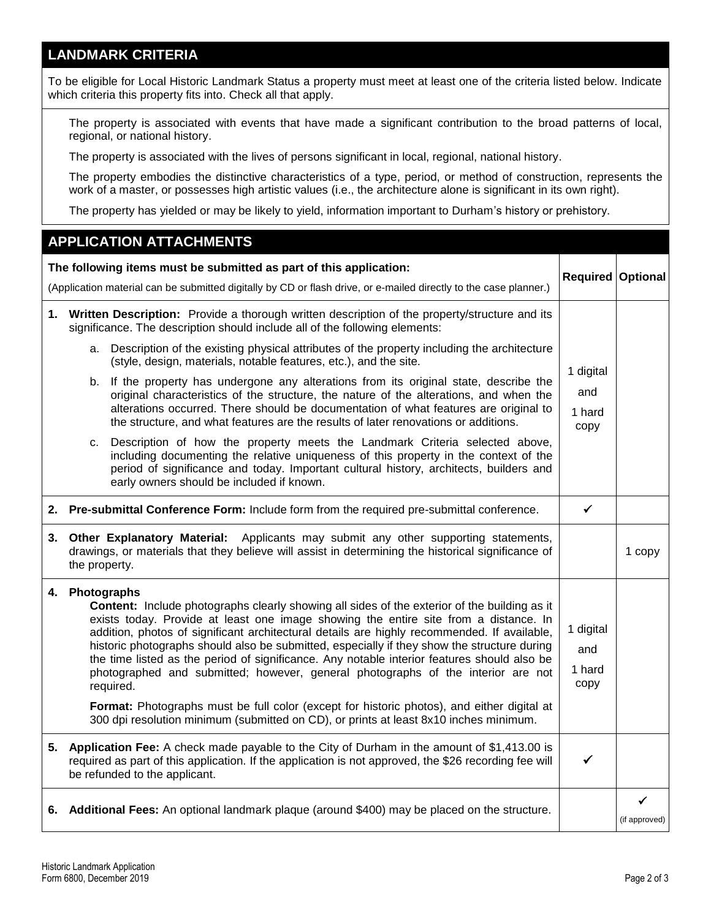#### **LANDMARK CRITERIA**

To be eligible for Local Historic Landmark Status a property must meet at least one of the criteria listed below. Indicate which criteria this property fits into. Check all that apply.

 The property is associated with events that have made a significant contribution to the broad patterns of local, regional, or national history.

The property is associated with the lives of persons significant in local, regional, national history.

 The property embodies the distinctive characteristics of a type, period, or method of construction, represents the work of a master, or possesses high artistic values (i.e., the architecture alone is significant in its own right).

The property has yielded or may be likely to yield, information important to Durham's history or prehistory.

#### **APPLICATION ATTACHMENTS The following items must be submitted as part of this application:** (Application material can be submitted digitally by CD or flash drive, or e-mailed directly to the case planner.) **Required Optional 1. Written Description:** Provide a thorough written description of the property/structure and its significance. The description should include all of the following elements: a. Description of the existing physical attributes of the property including the architecture (style, design, materials, notable features, etc.), and the site. b. If the property has undergone any alterations from its original state, describe the original characteristics of the structure, the nature of the alterations, and when the alterations occurred. There should be documentation of what features are original to the structure, and what features are the results of later renovations or additions. c. Description of how the property meets the Landmark Criteria selected above, including documenting the relative uniqueness of this property in the context of the period of significance and today. Important cultural history, architects, builders and early owners should be included if known. 1 digital and 1 hard copy **2.** Pre-submittal Conference Form: Include form from the required pre-submittal conference. │ ✓ **3. Other Explanatory Material:** Applicants may submit any other supporting statements, drawings, or materials that they believe will assist in determining the historical significance of the property. 1 copy **4. Photographs Content:** Include photographs clearly showing all sides of the exterior of the building as it exists today. Provide at least one image showing the entire site from a distance. In addition, photos of significant architectural details are highly recommended. If available, historic photographs should also be submitted, especially if they show the structure during the time listed as the period of significance. Any notable interior features should also be photographed and submitted; however, general photographs of the interior are not required. **Format:** Photographs must be full color (except for historic photos), and either digital at 300 dpi resolution minimum (submitted on CD), or prints at least 8x10 inches minimum. 1 digital and 1 hard copy **5. Application Fee:** A check made payable to the City of Durham in the amount of \$1,413.00 is required as part of this application. If the application is not approved, the \$26 recording fee will be refunded to the applicant.  $\checkmark$ **6. Additional Fees:** An optional landmark plaque (around \$400) may be placed on the structure.  $\checkmark$ (if approved)